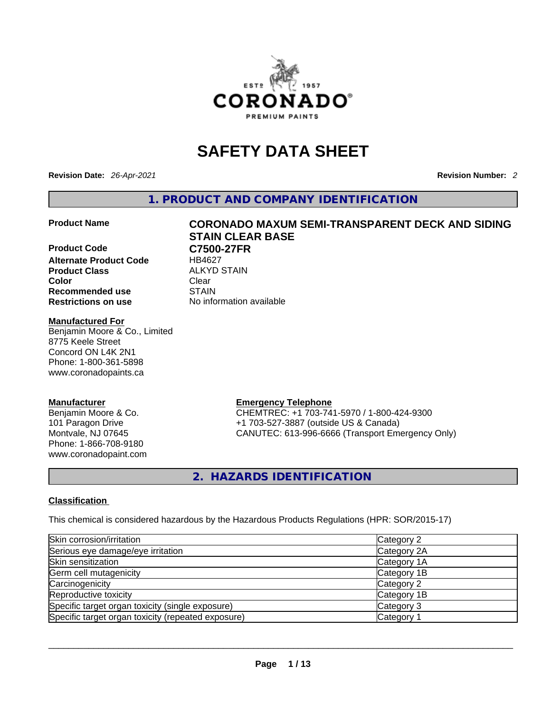

# **SAFETY DATA SHEET**

**Revision Date:** *26-Apr-2021* **Revision Number:** *2*

**1. PRODUCT AND COMPANY IDENTIFICATION** 

**Product Code C7500-27FR**<br>Alternate Product Code HB4627 **Alternate Product Code Product Class ALKYD STAIN Color Clear Recommended use** STAIN **Restrictions on use** No information available

### **Manufactured For**

Benjamin Moore & Co., Limited 8775 Keele Street Concord ON L4K 2N1 Phone: 1-800-361-5898 www.coronadopaints.ca

# **Manufacturer**

Benjamin Moore & Co. 101 Paragon Drive Montvale, NJ 07645 Phone: 1-866-708-9180 www.coronadopaint.com

# **Product Name CORONADO MAXUM SEMI-TRANSPARENT DECK AND SIDING STAIN CLEAR BASE**

**Emergency Telephone** CHEMTREC: +1 703-741-5970 / 1-800-424-9300 +1 703-527-3887 (outside US & Canada)

CANUTEC: 613-996-6666 (Transport Emergency Only)

**2. HAZARDS IDENTIFICATION** 

# **Classification**

This chemical is considered hazardous by the Hazardous Products Regulations (HPR: SOR/2015-17)

| Skin corrosion/irritation                          | Category 2            |
|----------------------------------------------------|-----------------------|
| Serious eye damage/eye irritation                  | Category 2A           |
| Skin sensitization                                 | Category 1A           |
| Germ cell mutagenicity                             | Category 1B           |
| Carcinogenicity                                    | Category 2            |
| Reproductive toxicity                              | Category 1B           |
| Specific target organ toxicity (single exposure)   | Category 3            |
| Specific target organ toxicity (repeated exposure) | Category <sup>2</sup> |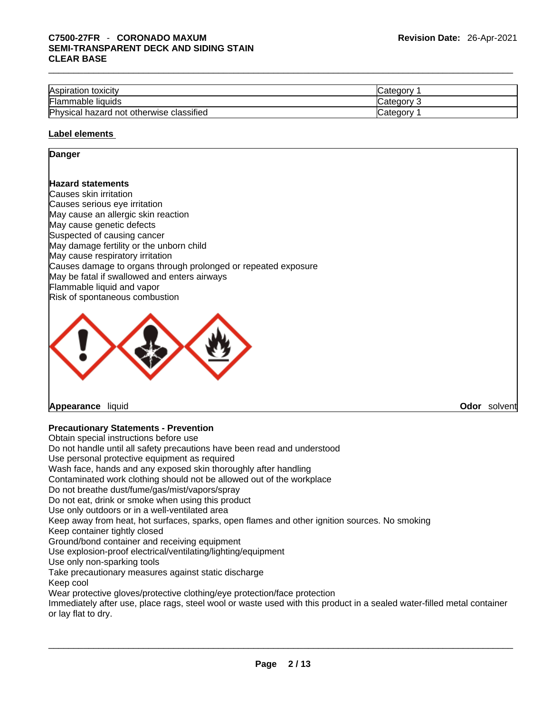| Aspiration toxicity                      | ∵ategory ڪ |
|------------------------------------------|------------|
| Flammable liquids                        | Category 2 |
| Physical hazard not otherwise classified | ′ ategoryٽ |
|                                          |            |

#### **Label elements**

#### **Danger**

### **Hazard statements**

Causes skin irritation Causes serious eye irritation May cause an allergic skin reaction May cause genetic defects Suspected of causing cancer May damage fertility or the unborn child May cause respiratory irritation Causes damage to organs through prolonged or repeated exposure May be fatal if swallowed and enters airways Flammable liquid and vapor Risk of spontaneous combustion



**Appearance** liquid **Odor** *solvent* **and** *Odor**Solvent* **and** *Odor**Solvent* **<b>Odor** *Solvent* **Odor** *Solvent* **Odor** *Solvent* **Odor** *Odor Odor Odor Odor Odor Odor Odor Odor Odor Odo* 

# **Precautionary Statements - Prevention**

Obtain special instructions before use Do not handle until all safety precautions have been read and understood Use personal protective equipment as required Wash face, hands and any exposed skin thoroughly after handling Contaminated work clothing should not be allowed out of the workplace Do not breathe dust/fume/gas/mist/vapors/spray Do not eat, drink or smoke when using this product Use only outdoors or in a well-ventilated area Keep away from heat, hot surfaces, sparks, open flames and other ignition sources. No smoking Keep container tightly closed Ground/bond container and receiving equipment Use explosion-proof electrical/ventilating/lighting/equipment Use only non-sparking tools Take precautionary measures against static discharge Keep cool Wear protective gloves/protective clothing/eye protection/face protection Immediately after use, place rags, steel wool or waste used with this product in a sealed water-filled metal container or lay flat to dry.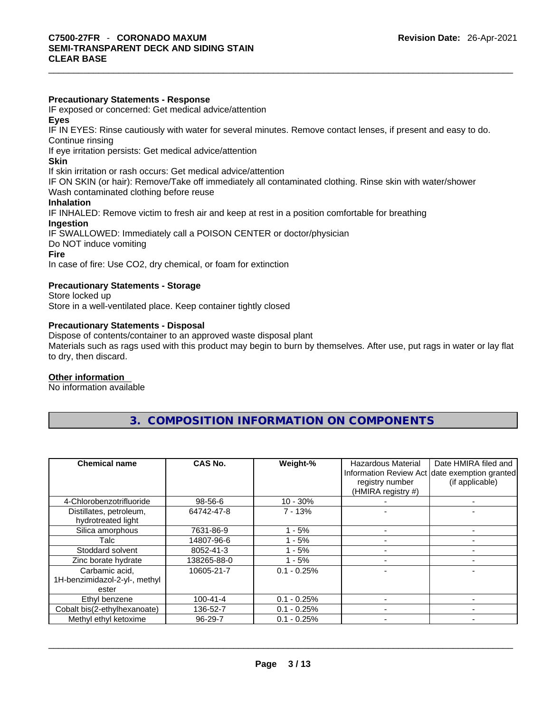### **Precautionary Statements - Response**

IF exposed or concerned: Get medical advice/attention

**Eyes**

IF IN EYES: Rinse cautiously with water forseveral minutes. Remove contact lenses, if present and easy to do. Continue rinsing

If eye irritation persists: Get medical advice/attention

#### **Skin**

If skin irritation or rash occurs: Get medical advice/attention

IF ON SKIN (or hair): Remove/Take off immediately all contaminated clothing. Rinse skin with water/shower Wash contaminated clothing before reuse

### **Inhalation**

IF INHALED: Remove victim to fresh air and keep at rest in a position comfortable for breathing **Ingestion**

IF SWALLOWED: Immediately call a POISON CENTER or doctor/physician

Do NOT induce vomiting

#### **Fire**

In case of fire: Use CO2, dry chemical, or foam for extinction

# **Precautionary Statements - Storage**

Store locked up Store in a well-ventilated place. Keep container tightly closed

# **Precautionary Statements - Disposal**

Dispose of contents/container to an approved waste disposal plant Materials such as rags used with this product may begin to burn by themselves. After use, put rags in water or lay flat to dry, then discard.

#### **Other information**

No information available

| <b>Chemical name</b>                                     | CAS No.        | Weight-%      | Hazardous Material<br>registry number<br>(HMIRA registry #) | Date HMIRA filed and<br>Information Review Act date exemption granted<br>(if applicable) |
|----------------------------------------------------------|----------------|---------------|-------------------------------------------------------------|------------------------------------------------------------------------------------------|
| 4-Chlorobenzotrifluoride                                 | 98-56-6        | $10 - 30%$    |                                                             |                                                                                          |
| Distillates, petroleum,<br>hydrotreated light            | 64742-47-8     | $7 - 13%$     |                                                             |                                                                                          |
| Silica amorphous                                         | 7631-86-9      | - 5%          |                                                             |                                                                                          |
| Talc                                                     | 14807-96-6     | - 5%          |                                                             |                                                                                          |
| Stoddard solvent                                         | 8052-41-3      | - 5%          |                                                             |                                                                                          |
| Zinc borate hydrate                                      | 138265-88-0    | - 5%          |                                                             |                                                                                          |
| Carbamic acid,<br>1H-benzimidazol-2-yl-, methyl<br>ester | 10605-21-7     | $0.1 - 0.25%$ |                                                             |                                                                                          |
| Ethyl benzene                                            | $100 - 41 - 4$ | $0.1 - 0.25%$ |                                                             |                                                                                          |
| Cobalt bis(2-ethylhexanoate)                             | 136-52-7       | $0.1 - 0.25%$ |                                                             |                                                                                          |
| Methyl ethyl ketoxime                                    | 96-29-7        | $0.1 - 0.25%$ |                                                             |                                                                                          |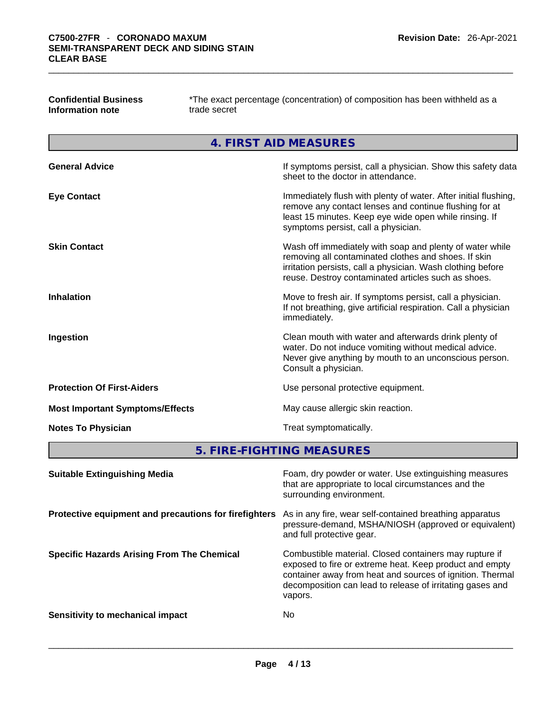| <b>Confidential Business</b> |  |
|------------------------------|--|
| Information note             |  |

**Confidential Business** \*The exact percentage (concentration) of composition has been withheld as a **Information note** trade secret

**4. FIRST AID MEASURES** 

| <b>General Advice</b>                  | If symptoms persist, call a physician. Show this safety data<br>sheet to the doctor in attendance.                                                                                                                                     |
|----------------------------------------|----------------------------------------------------------------------------------------------------------------------------------------------------------------------------------------------------------------------------------------|
| <b>Eye Contact</b>                     | Immediately flush with plenty of water. After initial flushing,<br>remove any contact lenses and continue flushing for at<br>least 15 minutes. Keep eye wide open while rinsing. If<br>symptoms persist, call a physician.             |
| <b>Skin Contact</b>                    | Wash off immediately with soap and plenty of water while<br>removing all contaminated clothes and shoes. If skin<br>irritation persists, call a physician. Wash clothing before<br>reuse. Destroy contaminated articles such as shoes. |
| <b>Inhalation</b>                      | Move to fresh air. If symptoms persist, call a physician.<br>If not breathing, give artificial respiration. Call a physician<br>immediately.                                                                                           |
| Ingestion                              | Clean mouth with water and afterwards drink plenty of<br>water. Do not induce vomiting without medical advice.<br>Never give anything by mouth to an unconscious person.<br>Consult a physician.                                       |
| <b>Protection Of First-Aiders</b>      | Use personal protective equipment.                                                                                                                                                                                                     |
| <b>Most Important Symptoms/Effects</b> | May cause allergic skin reaction.                                                                                                                                                                                                      |
| <b>Notes To Physician</b>              | Treat symptomatically.                                                                                                                                                                                                                 |

**5. FIRE-FIGHTING MEASURES** 

| <b>Suitable Extinguishing Media</b>                   | Foam, dry powder or water. Use extinguishing measures<br>that are appropriate to local circumstances and the<br>surrounding environment.                                                                                                               |
|-------------------------------------------------------|--------------------------------------------------------------------------------------------------------------------------------------------------------------------------------------------------------------------------------------------------------|
| Protective equipment and precautions for firefighters | As in any fire, wear self-contained breathing apparatus<br>pressure-demand, MSHA/NIOSH (approved or equivalent)<br>and full protective gear.                                                                                                           |
| <b>Specific Hazards Arising From The Chemical</b>     | Combustible material. Closed containers may rupture if<br>exposed to fire or extreme heat. Keep product and empty<br>container away from heat and sources of ignition. Thermal<br>decomposition can lead to release of irritating gases and<br>vapors. |
| Sensitivity to mechanical impact                      | No                                                                                                                                                                                                                                                     |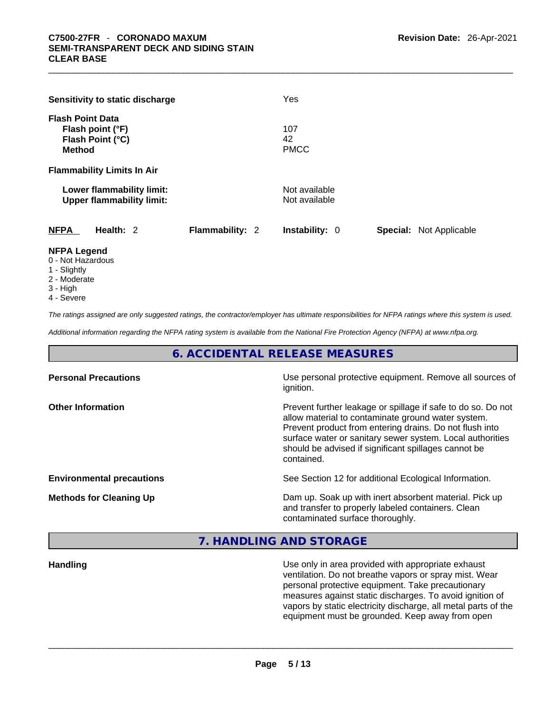|                                          | Sensitivity to static discharge                               |                 | Yes                            |                                |
|------------------------------------------|---------------------------------------------------------------|-----------------|--------------------------------|--------------------------------|
| <b>Flash Point Data</b><br><b>Method</b> | Flash point (°F)<br>Flash Point (°C)                          |                 | 107<br>42<br><b>PMCC</b>       |                                |
|                                          | <b>Flammability Limits In Air</b>                             |                 |                                |                                |
|                                          | Lower flammability limit:<br><b>Upper flammability limit:</b> |                 | Not available<br>Not available |                                |
| <b>NFPA</b>                              | Health: 2                                                     | Flammability: 2 | <b>Instability: 0</b>          | <b>Special: Not Applicable</b> |
| <b>NFPA Legend</b><br>0 - Not Hazardous  |                                                               |                 |                                |                                |

- 1 Slightly
- 2 Moderate
- 3 High
- 4 Severe

*The ratings assigned are only suggested ratings, the contractor/employer has ultimate responsibilities for NFPA ratings where this system is used.* 

*Additional information regarding the NFPA rating system is available from the National Fire Protection Agency (NFPA) at www.nfpa.org.* 

# **6. ACCIDENTAL RELEASE MEASURES**

| <b>Personal Precautions</b>      | Use personal protective equipment. Remove all sources of<br>ignition.                                                                                                                                                                                                                                            |
|----------------------------------|------------------------------------------------------------------------------------------------------------------------------------------------------------------------------------------------------------------------------------------------------------------------------------------------------------------|
| <b>Other Information</b>         | Prevent further leakage or spillage if safe to do so. Do not<br>allow material to contaminate ground water system.<br>Prevent product from entering drains. Do not flush into<br>surface water or sanitary sewer system. Local authorities<br>should be advised if significant spillages cannot be<br>contained. |
| <b>Environmental precautions</b> | See Section 12 for additional Ecological Information.                                                                                                                                                                                                                                                            |
| <b>Methods for Cleaning Up</b>   | Dam up. Soak up with inert absorbent material. Pick up<br>and transfer to properly labeled containers. Clean<br>contaminated surface thoroughly.                                                                                                                                                                 |

# **7. HANDLING AND STORAGE**

**Handling** Use only in area provided with appropriate exhaust ventilation. Do not breathe vapors or spray mist. Wear personal protective equipment. Take precautionary measures against static discharges. To avoid ignition of vapors by static electricity discharge, all metal parts of the equipment must be grounded. Keep away from open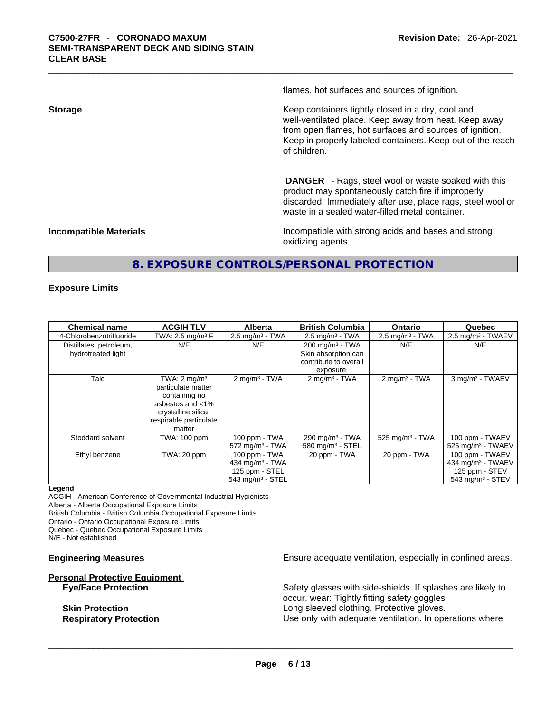flames, hot surfaces and sources of ignition.

**Storage Storage Example 2.1 Keep containers tightly closed in a dry, cool and** well-ventilated place. Keep away from heat. Keep away from open flames, hot surfaces and sources of ignition. Keep in properly labeled containers. Keep out of the reach of children.

> **DANGER** - Rags, steel wool or waste soaked with this product may spontaneously catch fire if improperly discarded. Immediately after use, place rags, steel wool or waste in a sealed water-filled metal container.

**Incompatible Materials Incompatible with strong acids and bases and strong** oxidizing agents.

# **8. EXPOSURE CONTROLS/PERSONAL PROTECTION**

#### **Exposure Limits**

| <b>Chemical name</b>                          | <b>ACGIH TLV</b>                                                                                                                              | <b>Alberta</b>                                                                                   | <b>British Columbia</b>                                                                 | <b>Ontario</b>                | Quebec                                                                                               |
|-----------------------------------------------|-----------------------------------------------------------------------------------------------------------------------------------------------|--------------------------------------------------------------------------------------------------|-----------------------------------------------------------------------------------------|-------------------------------|------------------------------------------------------------------------------------------------------|
| 4-Chlorobenzotrifluoride                      | TWA: 2.5 mg/m <sup>3</sup> $F$                                                                                                                | $2.5 \text{ mg/m}^3$ - TWA                                                                       | $2.5 \text{ mg/m}^3$ - TWA                                                              | $2.5 \text{ mg/m}^3$ - TWA    | $2.5 \text{ mg/m}^3$ - TWAEV                                                                         |
| Distillates, petroleum,<br>hydrotreated light | N/E                                                                                                                                           | N/E                                                                                              | $200 \text{ mg/m}^3$ - TWA<br>Skin absorption can<br>contribute to overall<br>exposure. | N/E                           | N/E                                                                                                  |
| Talc                                          | TWA: $2 \text{ mq/m}^3$<br>particulate matter<br>containing no<br>asbestos and <1%<br>crystalline silica,<br>respirable particulate<br>matter | $2 \text{ mg/m}^3$ - TWA                                                                         | $2 \text{ mg/m}^3$ - TWA                                                                | $2 \text{mq/m}^3$ - TWA       | 3 mg/m <sup>3</sup> - TWAEV                                                                          |
| Stoddard solvent                              | <b>TWA: 100 ppm</b>                                                                                                                           | 100 ppm - TWA<br>$572 \text{ mg/m}^3$ - TWA                                                      | 290 mg/m $3$ - TWA<br>$580$ mg/m <sup>3</sup> - STEL                                    | $525$ mg/m <sup>3</sup> - TWA | 100 ppm - TWAEV<br>$525$ mg/m <sup>3</sup> - TWAEV                                                   |
| Ethyl benzene                                 | TWA: 20 ppm                                                                                                                                   | 100 ppm - TWA<br>434 mg/m <sup>3</sup> - TWA<br>125 ppm - STEL<br>$543$ mg/m <sup>3</sup> - STEL | 20 ppm - TWA                                                                            | 20 ppm - TWA                  | 100 ppm - TWAEV<br>434 mg/m <sup>3</sup> - TWAEV<br>125 ppm - STEV<br>$543$ mg/m <sup>3</sup> - STEV |

#### **Legend**

ACGIH - American Conference of Governmental Industrial Hygienists Alberta - Alberta Occupational Exposure Limits

British Columbia - British Columbia Occupational Exposure Limits

Ontario - Ontario Occupational Exposure Limits Quebec - Quebec Occupational Exposure Limits

N/E - Not established

# **Personal Protective Equipment**

**Engineering Measures Ensure** Ensure adequate ventilation, especially in confined areas.

**Eye/Face Protection** Safety glasses with side-shields. If splashes are likely to occur, wear: Tightly fitting safety goggles **Skin Protection Skin Protection Long sleeved clothing. Protective gloves. Respiratory Protection Number 1** (Use only with adequate ventilation. In operations where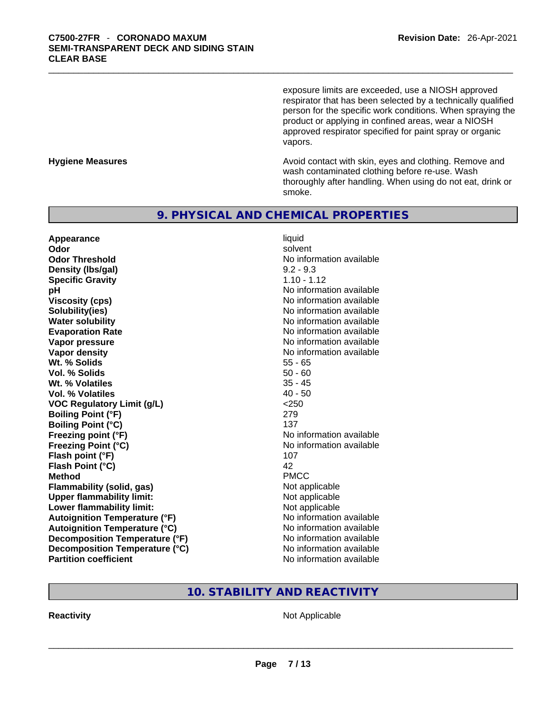exposure limits are exceeded, use a NIOSH approved respirator that has been selected by a technically qualified person for the specific work conditions. When spraying the product or applying in confined areas, wear a NIOSH approved respirator specified for paint spray or organic vapors.

**Hygiene Measures Avoid contact with skin, eyes and clothing. Remove and Avoid contact with skin, eyes and clothing. Remove and Avoid contact with skin, eyes and clothing. Remove and** wash contaminated clothing before re-use. Wash thoroughly after handling. When using do not eat, drink or smoke.

# **9. PHYSICAL AND CHEMICAL PROPERTIES**

**Appearance** liquid **Odor Solvent Solvent Solvent Solvent Odor Threshold** No information available **Density (lbs/gal)** 9.2 - 9.3 **Specific Gravity** 1.10 - 1.12 **pH pH** *No* information available **Viscosity (cps) Viscosity (cps) No information available Solubility(ies)** No information available **Water solubility No information available No information available Evaporation Rate No information available No information available Vapor pressure**  No information available **No information** available **Vapor density No information available No information available Wt. % Solids** 55 - 65 **Vol. % Solids** 50 - 60 **Wt. % Volatiles** 35 - 45 **Vol. % Volatiles** 40 - 50 **VOC Regulatory Limit (g/L)** <250 **Boiling Point (°F)** 279 **Boiling Point (°C)** 137 **Freezing point (°F)** No information available **Freezing Point (°C)** No information available **Flash point (°F)** 107 **Flash Point (°C)** 42 **Method** PMCC **Flammability (solid, gas)** Not applicable **Upper flammability limit:** Not applicable **Lower flammability limit:** Not applicable **Autoignition Temperature (°F)** No information available **Autoignition Temperature (°C)** No information available **Decomposition Temperature (°F)** No information available **Decomposition Temperature (°C)**<br> **Partition coefficient**<br> **Partition coefficient**<br> **No** information available

**No information available** 

# **10. STABILITY AND REACTIVITY**

**Reactivity** Not Applicable \_\_\_\_\_\_\_\_\_\_\_\_\_\_\_\_\_\_\_\_\_\_\_\_\_\_\_\_\_\_\_\_\_\_\_\_\_\_\_\_\_\_\_\_\_\_\_\_\_\_\_\_\_\_\_\_\_\_\_\_\_\_\_\_\_\_\_\_\_\_\_\_\_\_\_\_\_\_\_\_\_\_\_\_\_\_\_\_\_\_\_\_\_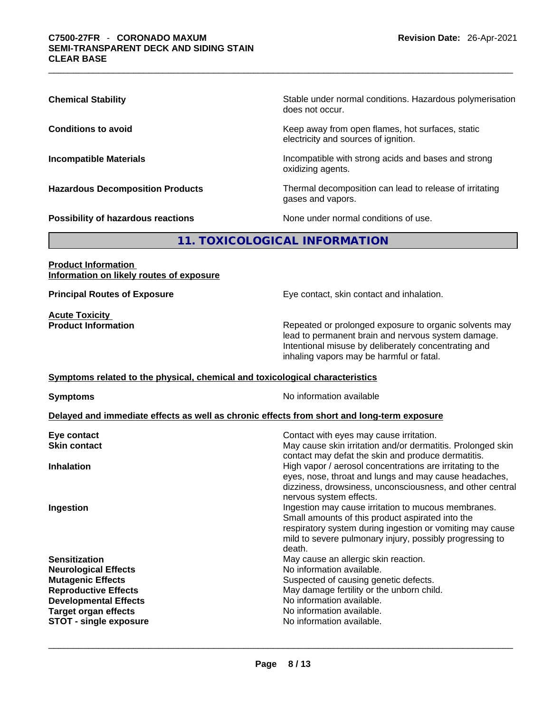| <b>Chemical Stability</b>               | Stable under normal conditions. Hazardous polymerisation<br>does not occur.              |
|-----------------------------------------|------------------------------------------------------------------------------------------|
| <b>Conditions to avoid</b>              | Keep away from open flames, hot surfaces, static<br>electricity and sources of ignition. |
| <b>Incompatible Materials</b>           | Incompatible with strong acids and bases and strong<br>oxidizing agents.                 |
| <b>Hazardous Decomposition Products</b> | Thermal decomposition can lead to release of irritating<br>gases and vapors.             |
| Possibility of hazardous reactions      | None under normal conditions of use.                                                     |

# **11. TOXICOLOGICAL INFORMATION**

### **Product Information Information on likely routes of exposure**

**Acute Toxicity**<br>**Product Information** 

**Principal Routes of Exposure Exposure** Eye contact, skin contact and inhalation.

Repeated or prolonged exposure to organic solvents may lead to permanent brain and nervous system damage. Intentional misuse by deliberately concentrating and inhaling vapors may be harmful or fatal.

## **Symptoms related to the physical,chemical and toxicological characteristics**

**Symptoms Symptoms No information available** 

#### **Delayed and immediate effects as well as chronic effects from short and long-term exposure**

| Eye contact                   | Contact with eyes may cause irritation.                                                                                                                                                                                                    |
|-------------------------------|--------------------------------------------------------------------------------------------------------------------------------------------------------------------------------------------------------------------------------------------|
| <b>Skin contact</b>           | May cause skin irritation and/or dermatitis. Prolonged skin<br>contact may defat the skin and produce dermatitis.                                                                                                                          |
| <b>Inhalation</b>             | High vapor / aerosol concentrations are irritating to the<br>eyes, nose, throat and lungs and may cause headaches,<br>dizziness, drowsiness, unconsciousness, and other central<br>nervous system effects.                                 |
| Ingestion                     | Ingestion may cause irritation to mucous membranes.<br>Small amounts of this product aspirated into the<br>respiratory system during ingestion or vomiting may cause<br>mild to severe pulmonary injury, possibly progressing to<br>death. |
| <b>Sensitization</b>          | May cause an allergic skin reaction.                                                                                                                                                                                                       |
| <b>Neurological Effects</b>   | No information available.                                                                                                                                                                                                                  |
| <b>Mutagenic Effects</b>      | Suspected of causing genetic defects.                                                                                                                                                                                                      |
| <b>Reproductive Effects</b>   | May damage fertility or the unborn child.                                                                                                                                                                                                  |
| <b>Developmental Effects</b>  | No information available.                                                                                                                                                                                                                  |
| <b>Target organ effects</b>   | No information available.                                                                                                                                                                                                                  |
| <b>STOT - single exposure</b> | No information available.                                                                                                                                                                                                                  |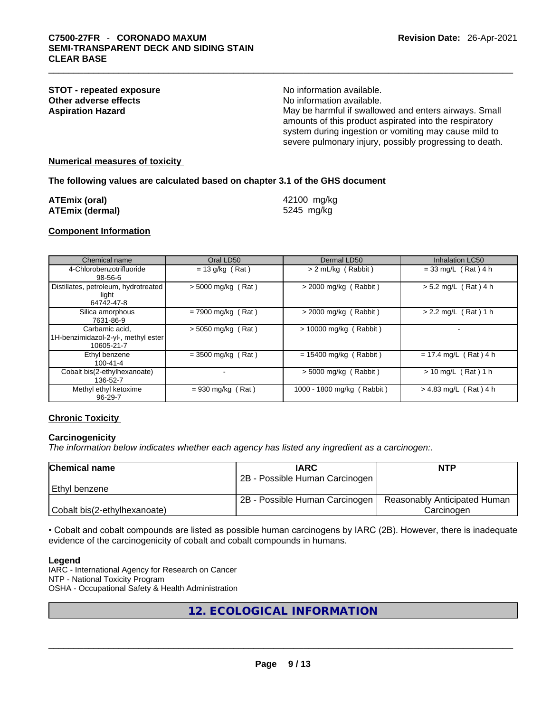| <b>STOT - repeated exposure</b> | No information available.                               |
|---------------------------------|---------------------------------------------------------|
|                                 |                                                         |
| Other adverse effects           | No information available.                               |
| Aspiration Hazard               | May be harmful if swallowed and enters airways. Small   |
|                                 | amounts of this product aspirated into the respiratory  |
|                                 | system during ingestion or vomiting may cause mild to   |
|                                 | severe pulmonary injury, possibly progressing to death. |
|                                 |                                                         |

#### **Numerical measures of toxicity**

#### **The following values are calculated based on chapter 3.1 of the GHS document**

| ATEmix (oral)   | 42100 mg/kg |
|-----------------|-------------|
| ATEmix (dermal) | 5245 mg/kg  |

#### **Component Information**

| Chemical name                                                       | Oral LD50            | Dermal LD50                | Inhalation LC50         |
|---------------------------------------------------------------------|----------------------|----------------------------|-------------------------|
| 4-Chlorobenzotrifluoride<br>$98 - 56 - 6$                           | $= 13$ g/kg (Rat)    | > 2 mL/kg (Rabbit)         | $= 33$ mg/L (Rat) 4 h   |
| Distillates, petroleum, hydrotreated<br>light<br>64742-47-8         | $>$ 5000 mg/kg (Rat) | $>$ 2000 mg/kg (Rabbit)    | $> 5.2$ mg/L (Rat) 4 h  |
| Silica amorphous<br>7631-86-9                                       | $= 7900$ mg/kg (Rat) | $>$ 2000 mg/kg (Rabbit)    | $> 2.2$ mg/L (Rat) 1 h  |
| Carbamic acid,<br>1H-benzimidazol-2-yl-, methyl ester<br>10605-21-7 | $>$ 5050 mg/kg (Rat) | > 10000 mg/kg (Rabbit)     |                         |
| Ethyl benzene<br>$100 - 41 - 4$                                     | $= 3500$ mg/kg (Rat) | $= 15400$ mg/kg (Rabbit)   | $= 17.4$ mg/L (Rat) 4 h |
| Cobalt bis(2-ethylhexanoate)<br>136-52-7                            |                      | $>$ 5000 mg/kg (Rabbit)    | $> 10$ mg/L (Rat) 1 h   |
| Methyl ethyl ketoxime<br>96-29-7                                    | $= 930$ mg/kg (Rat)  | 1000 - 1800 mg/kg (Rabbit) | $> 4.83$ mg/L (Rat) 4 h |

#### **Chronic Toxicity**

#### **Carcinogenicity**

*The information below indicates whether each agency has listed any ingredient as a carcinogen:.* 

| <b>Chemical name</b>         | <b>IARC</b>                    | <b>NTP</b>                   |
|------------------------------|--------------------------------|------------------------------|
|                              | 2B - Possible Human Carcinogen |                              |
| Ethyl benzene                |                                |                              |
|                              | 2B - Possible Human Carcinogen | Reasonably Anticipated Human |
| Cobalt bis(2-ethylhexanoate) |                                | Carcinogen                   |

• Cobalt and cobalt compounds are listed as possible human carcinogens by IARC (2B). However, there is inadequate evidence of the carcinogenicity of cobalt and cobalt compounds in humans.

#### **Legend**

IARC - International Agency for Research on Cancer NTP - National Toxicity Program OSHA - Occupational Safety & Health Administration

**12. ECOLOGICAL INFORMATION**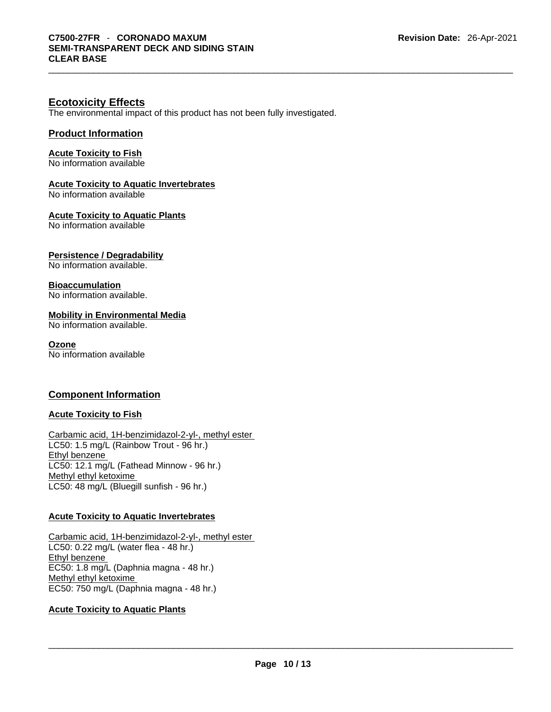# **Ecotoxicity Effects**

The environmental impact of this product has not been fully investigated.

# **Product Information**

**Acute Toxicity to Fish**

No information available

# **Acute Toxicity to Aquatic Invertebrates**

No information available

**Acute Toxicity to Aquatic Plants**

No information available

# **Persistence / Degradability**

No information available.

### **Bioaccumulation**

No information available.

### **Mobility in Environmental Media**

No information available.

#### **Ozone**

No information available

# **Component Information**

# **Acute Toxicity to Fish**

Carbamic acid, 1H-benzimidazol-2-yl-, methyl ester LC50: 1.5 mg/L (Rainbow Trout - 96 hr.) Ethyl benzene LC50: 12.1 mg/L (Fathead Minnow - 96 hr.) Methyl ethyl ketoxime LC50: 48 mg/L (Bluegill sunfish - 96 hr.)

# **Acute Toxicity to Aquatic Invertebrates**

Carbamic acid, 1H-benzimidazol-2-yl-, methyl ester LC50: 0.22 mg/L (water flea - 48 hr.) Ethyl benzene EC50: 1.8 mg/L (Daphnia magna - 48 hr.) Methyl ethyl ketoxime EC50: 750 mg/L (Daphnia magna - 48 hr.)

# **Acute Toxicity to Aquatic Plants**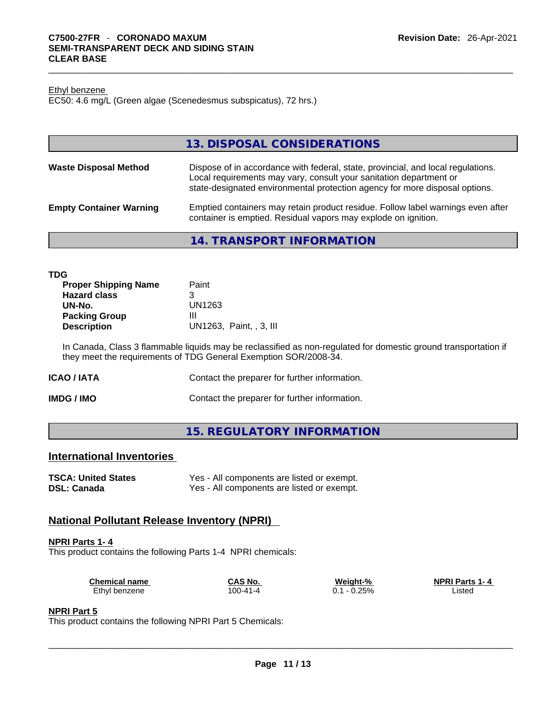#### Ethyl benzene

EC50: 4.6 mg/L (Green algae (Scenedesmus subspicatus), 72 hrs.)

|                                | 13. DISPOSAL CONSIDERATIONS                                                                                                                                                                                                           |
|--------------------------------|---------------------------------------------------------------------------------------------------------------------------------------------------------------------------------------------------------------------------------------|
| <b>Waste Disposal Method</b>   | Dispose of in accordance with federal, state, provincial, and local regulations.<br>Local requirements may vary, consult your sanitation department or<br>state-designated environmental protection agency for more disposal options. |
| <b>Empty Container Warning</b> | Emptied containers may retain product residue. Follow label warnings even after<br>container is emptied. Residual vapors may explode on ignition.                                                                                     |
|                                |                                                                                                                                                                                                                                       |

#### **14. TRANSPORT INFORMATION**

In Canada, Class 3 flammable liquids may be reclassified as non-regulated for domestic ground transportation if they meet the requirements of TDG General Exemption SOR/2008-34.

| ICAO / IATA | Contact the preparer for further information. |
|-------------|-----------------------------------------------|
|-------------|-----------------------------------------------|

**IMDG / IMO Contact the preparer for further information.** 

# **15. REGULATORY INFORMATION**

# **International Inventories**

| <b>TSCA: United States</b> | Yes - All components are listed or exempt. |
|----------------------------|--------------------------------------------|
| <b>DSL: Canada</b>         | Yes - All components are listed or exempt. |

# **National Pollutant Release Inventory (NPRI)**

#### **NPRI Parts 1- 4**

This product contains the following Parts 1-4 NPRI chemicals:

| <b>Chemical name</b> | CAS No.  | Weight-%      | <b>NPRI Parts 1-4</b> |  |
|----------------------|----------|---------------|-----------------------|--|
| Ethyl benzene        | 100-41-4 | 0.25%<br>$-1$ | _isted                |  |

#### **NPRI Part 5**

This product contains the following NPRI Part 5 Chemicals: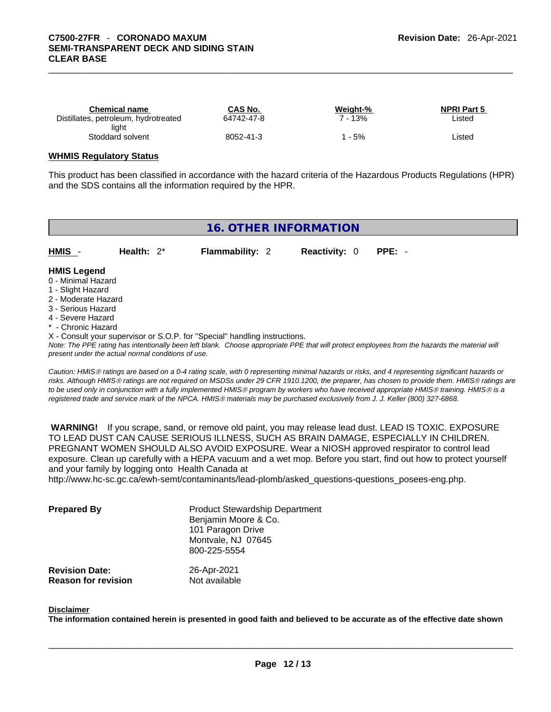| Chemical name                        | CAS No.    | Weight-% | <b>NPRI Part 5</b> |
|--------------------------------------|------------|----------|--------------------|
| Distillates, petroleum, hydrotreated | 64742-47-8 | - 13%    | Listed             |
| light                                |            |          |                    |
| Stoddard solvent                     | 8052-41-3  | 5%       | Listed             |

#### **WHMIS Regulatory Status**

This product has been classified in accordance with the hazard criteria of the Hazardous Products Regulations (HPR) and the SDS contains all the information required by the HPR.

# **16. OTHER INFORMATION**

**HMIS** - **Health:** 2\* **Flammability:** 2 **Reactivity:** 0 **PPE:** -

#### **HMIS Legend**

- 0 Minimal Hazard
- 1 Slight Hazard
- 2 Moderate Hazard
- 3 Serious Hazard
- 4 Severe Hazard
- \* Chronic Hazard
- X Consult your supervisor or S.O.P. for "Special" handling instructions.

*Note: The PPE rating has intentionally been left blank. Choose appropriate PPE that will protect employees from the hazards the material will present under the actual normal conditions of use.* 

*Caution: HMISÒ ratings are based on a 0-4 rating scale, with 0 representing minimal hazards or risks, and 4 representing significant hazards or risks. Although HMISÒ ratings are not required on MSDSs under 29 CFR 1910.1200, the preparer, has chosen to provide them. HMISÒ ratings are to be used only in conjunction with a fully implemented HMISÒ program by workers who have received appropriate HMISÒ training. HMISÒ is a registered trade and service mark of the NPCA. HMISÒ materials may be purchased exclusively from J. J. Keller (800) 327-6868.* 

 **WARNING!** If you scrape, sand, or remove old paint, you may release lead dust. LEAD IS TOXIC. EXPOSURE TO LEAD DUST CAN CAUSE SERIOUS ILLNESS, SUCH AS BRAIN DAMAGE, ESPECIALLY IN CHILDREN. PREGNANT WOMEN SHOULD ALSO AVOID EXPOSURE.Wear a NIOSH approved respirator to control lead exposure. Clean up carefully with a HEPA vacuum and a wet mop. Before you start, find out how to protect yourself and your family by logging onto Health Canada at

http://www.hc-sc.gc.ca/ewh-semt/contaminants/lead-plomb/asked\_questions-questions\_posees-eng.php.

| <b>Prepared By</b>                                  | <b>Product Stewardship Department</b><br>Benjamin Moore & Co.<br>101 Paragon Drive<br>Montvale, NJ 07645<br>800-225-5554 |  |
|-----------------------------------------------------|--------------------------------------------------------------------------------------------------------------------------|--|
| <b>Revision Date:</b><br><b>Reason for revision</b> | 26-Apr-2021<br>Not available                                                                                             |  |

#### **Disclaimer**

The information contained herein is presented in good faith and believed to be accurate as of the effective date shown